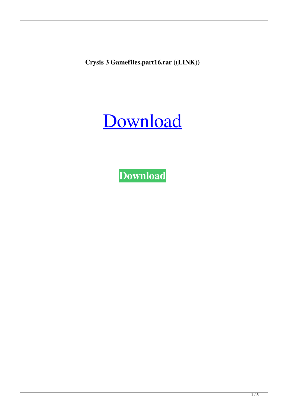**Crysis 3 Gamefiles.part16.rar ((LINK))**



**[Download](https://bytlly.com/2l06tr)**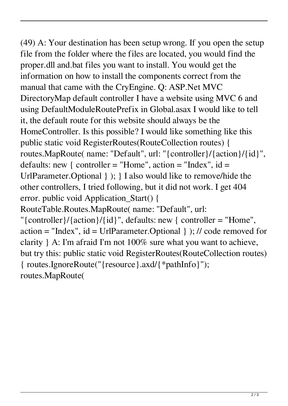(49) A: Your destination has been setup wrong. If you open the setup file from the folder where the files are located, you would find the proper.dll and.bat files you want to install. You would get the information on how to install the components correct from the manual that came with the CryEngine. Q: ASP.Net MVC DirectoryMap default controller I have a website using MVC 6 and using DefaultModuleRoutePrefix in Global.asax I would like to tell it, the default route for this website should always be the HomeController. Is this possible? I would like something like this public static void RegisterRoutes(RouteCollection routes) { routes.MapRoute( name: "Default", url: "{controller}/{action}/{id}", defaults: new { controller = "Home", action = "Index",  $id =$ UrlParameter.Optional } ); } I also would like to remove/hide the other controllers, I tried following, but it did not work. I get 404 error. public void Application\_Start() { RouteTable.Routes.MapRoute( name: "Default", url: "{controller}/{action}/{id}", defaults: new { controller = "Home", action = "Index",  $id = UrlParameter.Optional$  } ); // code removed for clarity } A: I'm afraid I'm not 100% sure what you want to achieve, but try this: public static void RegisterRoutes(RouteCollection routes) { routes.IgnoreRoute("{resource}.axd/{\*pathInfo}"); routes.MapRoute(